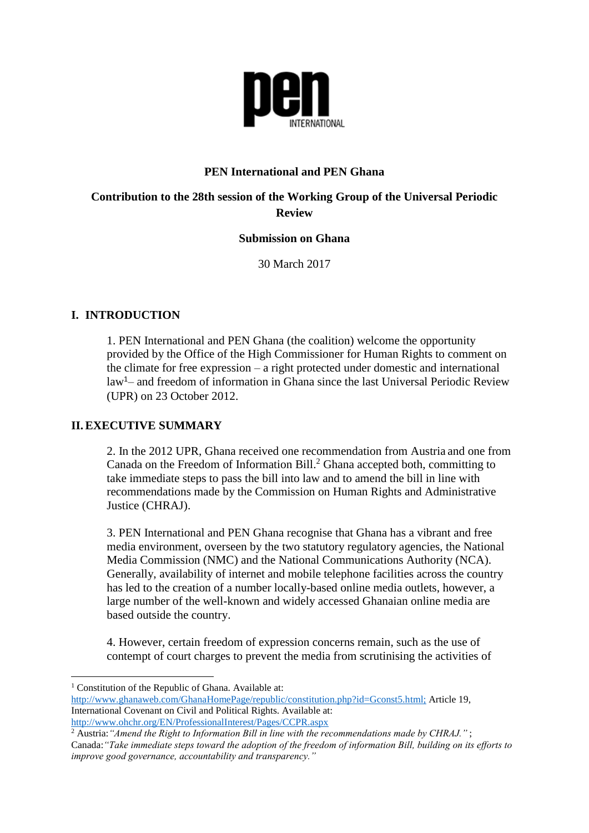

### **PEN International and PEN Ghana**

## **Contribution to the 28th session of the Working Group of the Universal Periodic Review**

# **Submission on Ghana**

30 March 2017

## **I. INTRODUCTION**

1. PEN International and PEN Ghana (the coalition) welcome the opportunity provided by the Office of the High Commissioner for Human Rights to comment on the climate for free expression – a right protected under domestic and international  $law<sup>1</sup>$  and freedom of information in Ghana since the last Universal Periodic Review (UPR) on 23 October 2012.

# **II.EXECUTIVE SUMMARY**

2. In the 2012 UPR, Ghana received one recommendation from Austria and one from Canada on the Freedom of Information Bill. <sup>2</sup> Ghana accepted both, committing to take immediate steps to pass the bill into law and to amend the bill in line with recommendations made by the Commission on Human Rights and Administrative Justice (CHRAJ).

3. PEN International and PEN Ghana recognise that Ghana has a vibrant and free media environment, overseen by the two statutory regulatory agencies, the National Media Commission (NMC) and the National Communications Authority (NCA). Generally, availability of internet and mobile telephone facilities across the country has led to the creation of a number locally-based online media outlets, however, a large number of the well-known and widely accessed Ghanaian online media are based outside the country.

4. However, certain freedom of expression concerns remain, such as the use of contempt of court charges to prevent the media from scrutinising the activities of

**<sup>.</sup>** <sup>1</sup> Constitution of the Republic of Ghana. Available at:

[http://www.ghanaweb.com/GhanaHomePage/republic/constitution.php?id=Gconst5.html;](http://www.ghanaweb.com/GhanaHomePage/republic/constitution.php?id=Gconst5.html) Article 19, International Covenant on Civil and Political Rights. Available at: <http://www.ohchr.org/EN/ProfessionalInterest/Pages/CCPR.aspx>

<sup>2</sup> Austria:*"Amend the Right to Information Bill in line with the recommendations made by CHRAJ."* ;

Canada:*"Take immediate steps toward the adoption of the freedom of information Bill, building on its efforts to improve good governance, accountability and transparency."*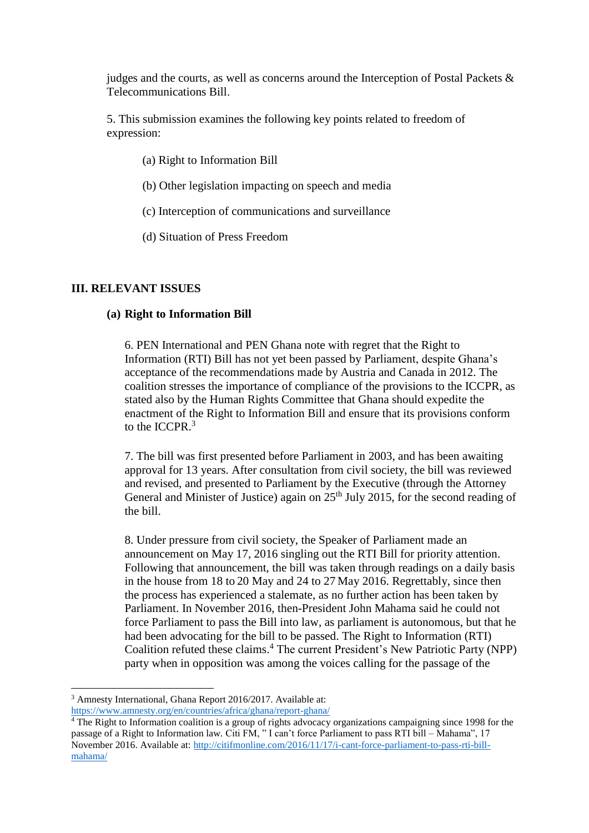judges and the courts, as well as concerns around the Interception of Postal Packets & Telecommunications Bill.

5. This submission examines the following key points related to freedom of expression:

- (a) Right to Information Bill
- (b) Other legislation impacting on speech and media
- (c) Interception of communications and surveillance
- (d) Situation of Press Freedom

### **III. RELEVANT ISSUES**

#### **(a) Right to Information Bill**

6. PEN International and PEN Ghana note with regret that the Right to Information (RTI) Bill has not yet been passed by Parliament, despite Ghana's acceptance of the recommendations made by Austria and Canada in 2012. The coalition stresses the importance of compliance of the provisions to the ICCPR, as stated also by the Human Rights Committee that Ghana should expedite the enactment of the Right to Information Bill and ensure that its provisions conform to the ICCPR.<sup>3</sup>

7. The bill was first presented before Parliament in 2003, and has been awaiting approval for 13 years. After consultation from civil society, the bill was reviewed and revised, and presented to Parliament by the Executive (through the Attorney General and Minister of Justice) again on  $25<sup>th</sup>$  July 2015, for the second reading of the bill.

8. Under pressure from civil society, the Speaker of Parliament made an announcement on May 17, 2016 singling out the RTI Bill for priority attention. Following that announcement, the bill was taken through readings on a daily basis in the house from 18 to 20 May and 24 to 27 May 2016. Regrettably, since then the process has experienced a stalemate, as no further action has been taken by Parliament. In November 2016, then-President John Mahama said he could not force Parliament to pass the Bill into law, as parliament is autonomous, but that he had been advocating for the bill to be passed. The Right to Information (RTI) Coalition refuted these claims.<sup>4</sup> The current President's New Patriotic Party (NPP) party when in opposition was among the voices calling for the passage of the

**.** 

<sup>&</sup>lt;sup>3</sup> Amnesty International, Ghana Report 2016/2017. Available at:

<https://www.amnesty.org/en/countries/africa/ghana/report-ghana/>

 $\frac{4}{1}$  The Right to Information coalition is a group of rights advocacy organizations campaigning since 1998 for the passage of a Right to Information law. Citi FM, " I can't force Parliament to pass RTI bill – Mahama", 17 November 2016. Available at: [http://citifmonline.com/2016/11/17/i-cant-force-parliament-to-pass-rti-bill](http://citifmonline.com/2016/11/17/i-cant-force-parliament-to-pass-rti-bill-mahama/)[mahama/](http://citifmonline.com/2016/11/17/i-cant-force-parliament-to-pass-rti-bill-mahama/)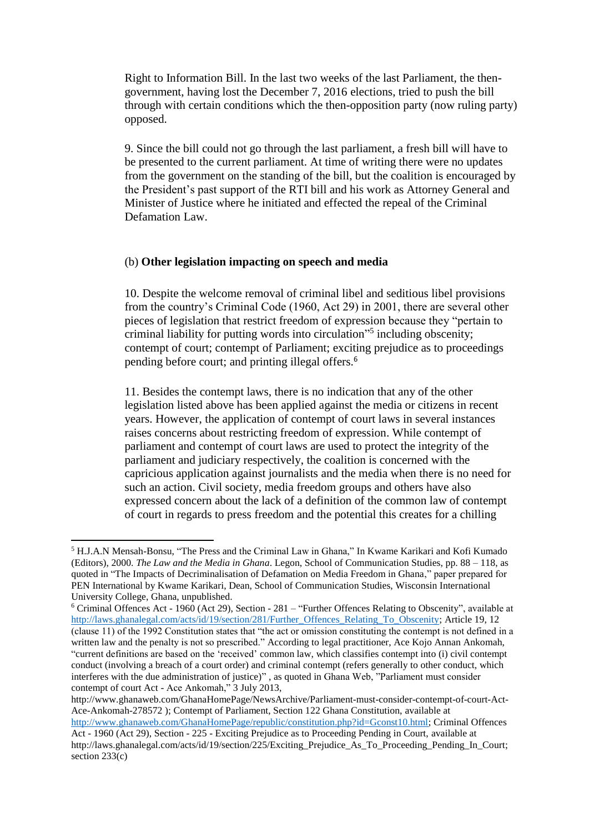Right to Information Bill. In the last two weeks of the last Parliament, the thengovernment, having lost the December 7, 2016 elections, tried to push the bill through with certain conditions which the then-opposition party (now ruling party) opposed.

9. Since the bill could not go through the last parliament, a fresh bill will have to be presented to the current parliament. At time of writing there were no updates from the government on the standing of the bill, but the coalition is encouraged by the President's past support of the RTI bill and his work as Attorney General and Minister of Justice where he initiated and effected the repeal of the Criminal Defamation Law.

#### (b) **Other legislation impacting on speech and media**

10. Despite the welcome removal of criminal libel and seditious libel provisions from the country's Criminal Code (1960, Act 29) in 2001, there are several other pieces of legislation that restrict freedom of expression because they "pertain to criminal liability for putting words into circulation" 5 including obscenity; contempt of court; contempt of Parliament; exciting prejudice as to proceedings pending before court; and printing illegal offers.<sup>6</sup>

11. Besides the contempt laws, there is no indication that any of the other legislation listed above has been applied against the media or citizens in recent years. However, the application of contempt of court laws in several instances raises concerns about restricting freedom of expression. While contempt of parliament and contempt of court laws are used to protect the integrity of the parliament and judiciary respectively, the coalition is concerned with the capricious application against journalists and the media when there is no need for such an action. Civil society, media freedom groups and others have also expressed concern about the lack of a definition of the common law of contempt of court in regards to press freedom and the potential this creates for a chilling

**.** 

<sup>5</sup> H.J.A.N Mensah-Bonsu, "The Press and the Criminal Law in Ghana," In Kwame Karikari and Kofi Kumado (Editors), 2000. *The Law and the Media in Ghana*. Legon, School of Communication Studies, pp. 88 – 118, as quoted in "The Impacts of Decriminalisation of Defamation on Media Freedom in Ghana," paper prepared for PEN International by Kwame Karikari, Dean, School of Communication Studies, Wisconsin International University College, Ghana, unpublished.

<sup>6</sup> Criminal Offences Act - 1960 (Act 29), Section - 281 – "Further Offences Relating to Obscenity", available at [http://laws.ghanalegal.com/acts/id/19/section/281/Further\\_Offences\\_Relating\\_To\\_Obscenity;](http://laws.ghanalegal.com/acts/id/19/section/281/Further_Offences_Relating_To_Obscenity) Article 19, 12 (clause 11) of the 1992 Constitution states that "the act or omission constituting the contempt is not defined in a written law and the penalty is not so prescribed." According to legal practitioner, Ace Kojo Annan Ankomah, "current definitions are based on the 'received' common law, which classifies contempt into (i) civil contempt conduct (involving a breach of a court order) and criminal contempt (refers generally to other conduct, which interferes with the due administration of justice)" , as quoted in Ghana Web, "Parliament must consider contempt of court Act - Ace Ankomah," 3 July 2013,

http://www.ghanaweb.com/GhanaHomePage/NewsArchive/Parliament-must-consider-contempt-of-court-Act-Ace-Ankomah-278572 ); Contempt of Parliament, Section 122 Ghana Constitution, available at [http://www.ghanaweb.com/GhanaHomePage/republic/constitution.php?id=Gconst10.html;](http://www.ghanaweb.com/GhanaHomePage/republic/constitution.php?id=Gconst10.html) Criminal Offences Act - 1960 (Act 29), Section - 225 - Exciting Prejudice as to Proceeding Pending in Court, available at

http://laws.ghanalegal.com/acts/id/19/section/225/Exciting\_Prejudice\_As\_To\_Proceeding\_Pending\_In\_Court; section 233(c)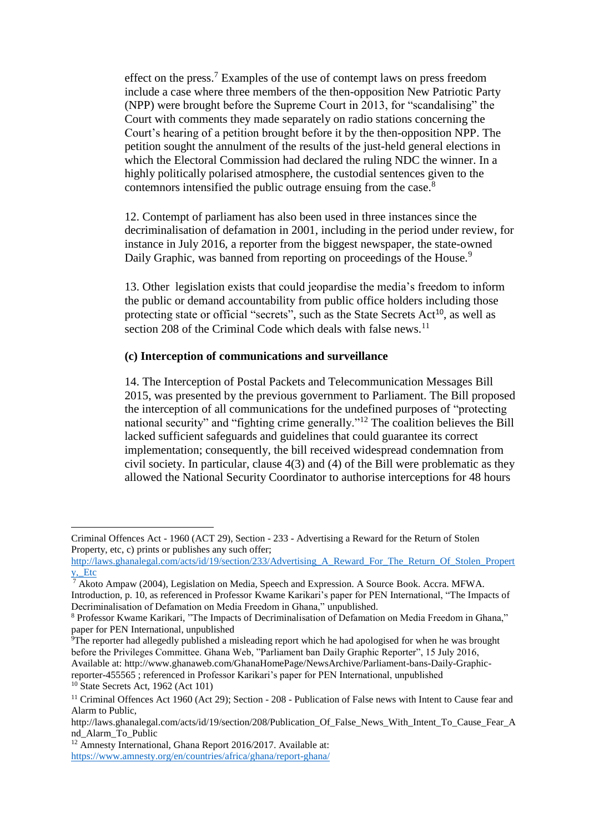effect on the press.<sup>7</sup> Examples of the use of contempt laws on press freedom include a case where three members of the then-opposition New Patriotic Party (NPP) were brought before the Supreme Court in 2013, for "scandalising" the Court with comments they made separately on radio stations concerning the Court's hearing of a petition brought before it by the then-opposition NPP. The petition sought the annulment of the results of the just-held general elections in which the Electoral Commission had declared the ruling NDC the winner. In a highly politically polarised atmosphere, the custodial sentences given to the contemnors intensified the public outrage ensuing from the case.<sup>8</sup>

12. Contempt of parliament has also been used in three instances since the decriminalisation of defamation in 2001, including in the period under review, for instance in July 2016, a reporter from the biggest newspaper, the state-owned Daily Graphic, was banned from reporting on proceedings of the House.<sup>9</sup>

13. Other legislation exists that could jeopardise the media's freedom to inform the public or demand accountability from public office holders including those protecting state or official "secrets", such as the State Secrets Act<sup>10</sup>, as well as section 208 of the Criminal Code which deals with false news.<sup>11</sup>

### **(c) Interception of communications and surveillance**

14. The Interception of Postal Packets and Telecommunication Messages Bill 2015, was presented by the previous government to Parliament. The Bill proposed the interception of all communications for the undefined purposes of "protecting national security" and "fighting crime generally."<sup>12</sup> The coalition believes the Bill lacked sufficient safeguards and guidelines that could guarantee its correct implementation; consequently, the bill received widespread condemnation from civil society. In particular, clause 4(3) and (4) of the Bill were problematic as they allowed the National Security Coordinator to authorise interceptions for 48 hours

 $\overline{\phantom{a}}$ 

Criminal Offences Act - 1960 (ACT 29), Section - 233 - Advertising a Reward for the Return of Stolen Property, etc, c) prints or publishes any such offer;

[http://laws.ghanalegal.com/acts/id/19/section/233/Advertising\\_A\\_Reward\\_For\\_The\\_Return\\_Of\\_Stolen\\_Propert](http://laws.ghanalegal.com/acts/id/19/section/233/Advertising_A_Reward_For_The_Return_Of_Stolen_Property,_Etc) [y,\\_Etc](http://laws.ghanalegal.com/acts/id/19/section/233/Advertising_A_Reward_For_The_Return_Of_Stolen_Property,_Etc)

<sup>&</sup>lt;sup>7</sup> Akoto Ampaw (2004), Legislation on Media, Speech and Expression. A Source Book. Accra. MFWA. Introduction, p. 10, as referenced in Professor Kwame Karikari's paper for PEN International, "The Impacts of Decriminalisation of Defamation on Media Freedom in Ghana," unpublished.

<sup>8</sup> Professor Kwame Karikari, "The Impacts of Decriminalisation of Defamation on Media Freedom in Ghana," paper for PEN International, unpublished

<sup>9</sup>The reporter had allegedly published a misleading report which he had apologised for when he was brought before the Privileges Committee. Ghana Web, "Parliament ban Daily Graphic Reporter", 15 July 2016, Available at: http://www.ghanaweb.com/GhanaHomePage/NewsArchive/Parliament-bans-Daily-Graphicreporter-455565 ; referenced in Professor Karikari's paper for PEN International, unpublished

 $10$  State Secrets Act, 1962 (Act 101)

<sup>&</sup>lt;sup>11</sup> Criminal Offences Act 1960 (Act 29); Section - 208 - Publication of False news with Intent to Cause fear and Alarm to Public,

http://laws.ghanalegal.com/acts/id/19/section/208/Publication Of False News With Intent To Cause Fear A nd\_Alarm\_To\_Public

<sup>&</sup>lt;sup>12</sup> Amnesty International, Ghana Report 2016/2017. Available at: <https://www.amnesty.org/en/countries/africa/ghana/report-ghana/>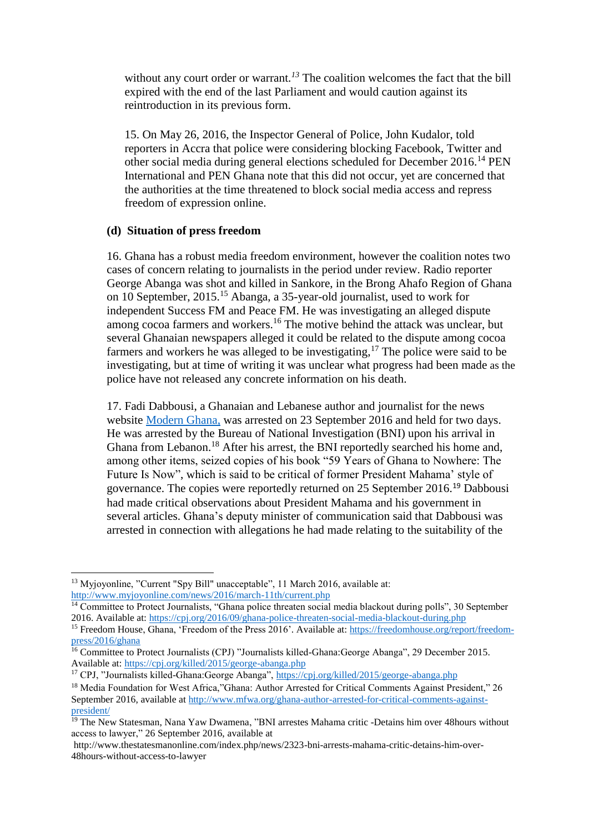without any court order or warrant.<sup>13</sup> The coalition welcomes the fact that the bill expired with the end of the last Parliament and would caution against its reintroduction in its previous form.

15. On May 26, 2016, the Inspector General of Police, John Kudalor, told reporters in Accra that police were considering blocking Facebook, Twitter and other social media during general elections scheduled for December 2016.<sup>14</sup> PEN International and PEN Ghana note that this did not occur, yet are concerned that the authorities at the time threatened to block social media access and repress freedom of expression online.

### **(d) Situation of press freedom**

16. Ghana has a robust media freedom environment, however the coalition notes two cases of concern relating to journalists in the period under review. Radio reporter George Abanga was shot and killed in Sankore, in the Brong Ahafo Region of Ghana on 10 September, 2015. <sup>15</sup> Abanga, a 35-year-old journalist, used to work for independent Success FM and Peace FM. He was investigating an alleged dispute among cocoa farmers and workers.<sup>16</sup> The motive behind the attack was unclear, but several Ghanaian newspapers alleged it could be related to the dispute among cocoa farmers and workers he was alleged to be investigating,  $17$  The police were said to be investigating, but at time of writing it was unclear what progress had been made as the police have not released any concrete information on his death.

17. Fadi Dabbousi, a Ghanaian and Lebanese author and journalist for the news website [Modern Ghana,](https://www.modernghana.com/author/fadidabbousi) was arrested on 23 September 2016 and held for two days. He was arrested by the Bureau of National Investigation (BNI) upon his arrival in Ghana from Lebanon.<sup>18</sup> After his arrest, the BNI reportedly searched his home and, among other items, seized copies of his book "59 Years of Ghana to Nowhere: The Future Is Now", which is said to be critical of former President Mahama' style of governance. The copies were reportedly returned on 25 September 2016.<sup>19</sup> Dabbousi had made critical observations about President Mahama and his government in several articles. Ghana's deputy minister of communication said that Dabbousi was arrested in connection with allegations he had made relating to the suitability of the

**.** 

<sup>&</sup>lt;sup>13</sup> Myjoyonline, "Current "Spy Bill" unacceptable", 11 March 2016, available at: <http://www.myjoyonline.com/news/2016/march-11th/current.php>

<sup>&</sup>lt;sup>14</sup> Committee to Protect Journalists, "Ghana police threaten social media blackout during polls", 30 September 2016. Available at:<https://cpj.org/2016/09/ghana-police-threaten-social-media-blackout-during.php>

<sup>&</sup>lt;sup>15</sup> Freedom House, Ghana, 'Freedom of the Press 2016'. Available at[: https://freedomhouse.org/report/freedom](https://freedomhouse.org/report/freedom-press/2016/ghana)[press/2016/ghana](https://freedomhouse.org/report/freedom-press/2016/ghana)

<sup>&</sup>lt;sup>16</sup> Committee to Protect Journalists (CPJ) "Journalists killed-Ghana: George Abanga", 29 December 2015. Available at:<https://cpj.org/killed/2015/george-abanga.php>

<sup>&</sup>lt;sup>17</sup> CPJ, "Journalists killed-Ghana:George Abanga",<https://cpj.org/killed/2015/george-abanga.php>

<sup>&</sup>lt;sup>18</sup> Media Foundation for West Africa,"Ghana: Author Arrested for Critical Comments Against President," 26 September 2016, available a[t http://www.mfwa.org/ghana-author-arrested-for-critical-comments-against](http://www.mfwa.org/ghana-author-arrested-for-critical-comments-against-president/)[president/](http://www.mfwa.org/ghana-author-arrested-for-critical-comments-against-president/)

<sup>&</sup>lt;sup>19</sup> The New Statesman, Nana Yaw Dwamena, "BNI arrestes Mahama critic -Detains him over 48hours without access to lawyer," 26 September 2016, available at

http://www.thestatesmanonline.com/index.php/news/2323-bni-arrests-mahama-critic-detains-him-over-48hours-without-access-to-lawyer